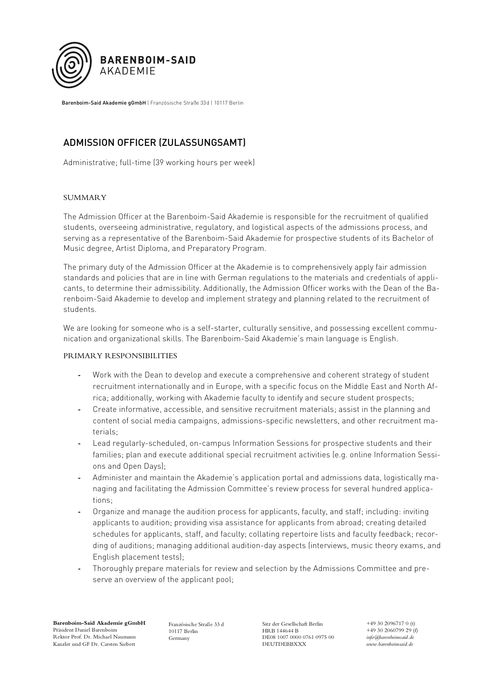

Barenboim-Said Akademie gGmbH | Französische Straße 33d | 10117 Berlin

## ADMISSION OFFICER (ZULASSUNGSAMT)

Administrative; full-time (39 working hours per week)

## SUMMARY

The Admission Officer at the Barenboim-Said Akademie is responsible for the recruitment of qualified students, overseeing administrative, regulatory, and logistical aspects of the admissions process, and serving as a representative of the Barenboim-Said Akademie for prospective students of its Bachelor of Music degree, Artist Diploma, and Preparatory Program.

The primary duty of the Admission Officer at the Akademie is to comprehensively apply fair admission standards and policies that are in line with German regulations to the materials and credentials of applicants, to determine their admissibility. Additionally, the Admission Officer works with the Dean of the Barenboim-Said Akademie to develop and implement strategy and planning related to the recruitment of students.

We are looking for someone who is a self-starter, culturally sensitive, and possessing excellent communication and organizational skills. The Barenboim-Said Akademie's main language is English.

## PRIMARY RESPONSIBILITIES

- **-** Work with the Dean to develop and execute a comprehensive and coherent strategy of student recruitment internationally and in Europe, with a specific focus on the Middle East and North Africa; additionally, working with Akademie faculty to identify and secure student prospects;
- **-** Create informative, accessible, and sensitive recruitment materials; assist in the planning and content of social media campaigns, admissions-specific newsletters, and other recruitment materials;
- **-** Lead regularly-scheduled, on-campus Information Sessions for prospective students and their families; plan and execute additional special recruitment activities (e.g. online Information Sessions and Open Days);
- **-** Administer and maintain the Akademie's application portal and admissions data, logistically managing and facilitating the Admission Committee's review process for several hundred applications;
- **-** Organize and manage the audition process for applicants, faculty, and staff; including: inviting applicants to audition; providing visa assistance for applicants from abroad; creating detailed schedules for applicants, staff, and faculty; collating repertoire lists and faculty feedback; recording of auditions; managing additional audition-day aspects (interviews, music theory exams, and English placement tests);
- **-** Thoroughly prepare materials for review and selection by the Admissions Committee and preserve an overview of the applicant pool;

**Barenboim-Said Akademie gGmbH** Präsident Daniel Barenboim Rektor Prof. Dr. Michael Naumann Kanzler und GF Dr. Carsten Siebert

Französische Straße 33 d 10117 Berlin Germany

Sitz der Gesellschaft Berlin HRB 144644 B DE08 1007 0000 0761 0975 00 DEUTDEBBXXX

+49 30 2096717 0 (t) +49 30 2060799 29 (f) *info@barenboimsaid.de www.barenboimsaid.de*